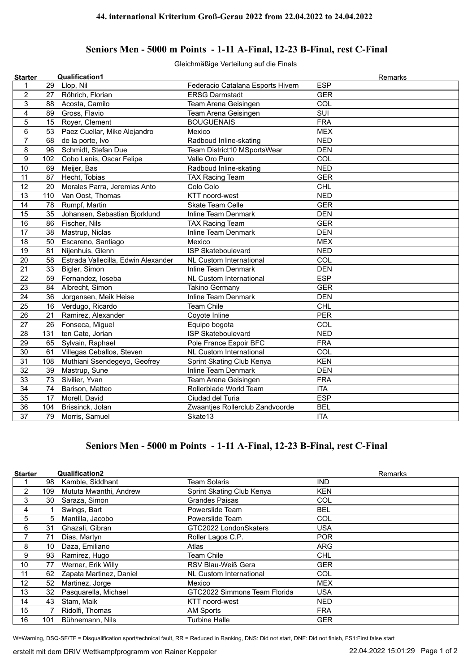## **Seniors Men - 5000 m Points - 1-11 A-Final, 12-23 B-Final, rest C-Final**

Gleichmäßige Verteilung auf die Finals

| <b>Starter</b>  |     | <b>Qualification1</b>               |                                   | Remarks                 |
|-----------------|-----|-------------------------------------|-----------------------------------|-------------------------|
| 1               | 29  | Llop, Nil                           | Federacio Catalana Esports Hivern | <b>ESP</b>              |
| $\overline{c}$  | 27  | Röhrich, Florian                    | <b>ERSG Darmstadt</b>             | <b>GER</b>              |
| 3               | 88  | Acosta, Camilo                      | Team Arena Geisingen              | COL                     |
| $\overline{4}$  | 89  | Gross, Flavio                       | Team Arena Geisingen              | $\overline{\text{SUI}}$ |
| 5               | 15  | Royer, Clement                      | <b>BOUGUENAIS</b>                 | <b>FRA</b>              |
| 6               | 53  | Paez Cuellar, Mike Alejandro        | Mexico                            | <b>MEX</b>              |
| $\overline{7}$  | 68  | de la porte, Ivo                    | Radboud Inline-skating            | <b>NED</b>              |
| 8               | 96  | Schmidt, Stefan Due                 | Team District10 MSportsWear       | <b>DEN</b>              |
| 9               | 102 | Cobo Lenis, Oscar Felipe            | Valle Oro Puro                    | COL                     |
| 10              | 69  | Meijer, Bas                         | Radboud Inline-skating            | <b>NED</b>              |
| 11              | 87  | Hecht, Tobias                       | <b>TAX Racing Team</b>            | <b>GER</b>              |
| 12              | 20  | Morales Parra, Jeremias Anto        | Colo Colo                         | <b>CHL</b>              |
| 13              | 110 | Van Oost, Thomas                    | KTT noord-west                    | <b>NED</b>              |
| 14              | 78  | Rumpf, Martin                       | Skate Team Celle                  | <b>GER</b>              |
| 15              | 35  | Johansen, Sebastian Bjorklund       | <b>Inline Team Denmark</b>        | <b>DEN</b>              |
| $\overline{16}$ | 86  | Fischer, Nils                       | <b>TAX Racing Team</b>            | <b>GER</b>              |
| 17              | 38  | Mastrup, Niclas                     | <b>Inline Team Denmark</b>        | <b>DEN</b>              |
| 18              | 50  | Escareno, Santiago                  | Mexico                            | <b>MEX</b>              |
| 19              | 81  | Nijenhuis, Glenn                    | <b>ISP Skateboulevard</b>         | <b>NED</b>              |
| 20              | 58  | Estrada Vallecilla, Edwin Alexander | <b>NL Custom International</b>    | COL                     |
| 21              | 33  | Bigler, Simon                       | <b>Inline Team Denmark</b>        | <b>DEN</b>              |
| 22              | 59  | Fernandez, loseba                   | <b>NL Custom International</b>    | <b>ESP</b>              |
| 23              | 84  | Albrecht, Simon                     | <b>Takino Germany</b>             | <b>GER</b>              |
| 24              | 36  | Jorgensen, Meik Heise               | <b>Inline Team Denmark</b>        | <b>DEN</b>              |
| 25              | 16  | Verdugo, Ricardo                    | <b>Team Chile</b>                 | CHL                     |
| 26              | 21  | Ramirez, Alexander                  | Coyote Inline                     | <b>PER</b>              |
| 27              | 26  | Fonseca, Miguel                     | Equipo bogota                     | COL                     |
| 28              | 131 | ten Cate, Jorian                    | <b>ISP Skateboulevard</b>         | <b>NED</b>              |
| 29              | 65  | Sylvain, Raphael                    | Pole France Espoir BFC            | <b>FRA</b>              |
| 30              | 61  | Villegas Ceballos, Steven           | <b>NL Custom International</b>    | COL                     |
| 31              | 108 | Muthiani Ssendegeyo, Geofrey        | Sprint Skating Club Kenya         | <b>KEN</b>              |
| 32              | 39  | Mastrup, Sune                       | <b>Inline Team Denmark</b>        | <b>DEN</b>              |
| 33              | 73  | Sivilier, Yvan                      | Team Arena Geisingen              | <b>FRA</b>              |
| 34              | 74  | Barison, Matteo                     | Rollerblade World Team            | <b>ITA</b>              |
| 35              | 17  | Morell, David                       | Ciudad del Turia                  | <b>ESP</b>              |
| 36              | 104 | Brissinck, Jolan                    | Zwaantjes Rollerclub Zandvoorde   | <b>BEL</b>              |
| $\overline{37}$ | 79  | Morris, Samuel                      | Skate13                           | <b>ITA</b>              |

## **Seniors Men - 5000 m Points - 1-11 A-Final, 12-23 B-Final, rest C-Final**

| <b>Starter</b> |     | <b>Qualification2</b>   |                              | Remarks    |
|----------------|-----|-------------------------|------------------------------|------------|
|                | 98  | Kamble, Siddhant        | <b>Team Solaris</b>          | <b>IND</b> |
| 2              | 109 | Mututa Mwanthi, Andrew  | Sprint Skating Club Kenya    | <b>KEN</b> |
| 3              | 30  | Saraza, Simon           | <b>Grandes Paisas</b>        | COL        |
| 4              |     | Swings, Bart            | Powerslide Team              | <b>BEL</b> |
| 5              | 5   | Mantilla, Jacobo        | Powerslide Team              | <b>COL</b> |
| 6              | 31  | Ghazali, Gibran         | GTC2022 LondonSkaters        | <b>USA</b> |
|                | 71  | Dias, Martyn            | Roller Lagos C.P.            | <b>POR</b> |
| 8              | 10  | Daza, Emiliano          | Atlas                        | <b>ARG</b> |
| 9              | 93  | Ramirez, Hugo           | Team Chile                   | <b>CHL</b> |
| 10             | 77  | Werner, Erik Willy      | RSV Blau-Weiß Gera           | <b>GER</b> |
| 11             | 62  | Zapata Martinez, Daniel | NL Custom International      | <b>COL</b> |
| 12             | 52  | Martinez, Jorge         | Mexico                       | <b>MEX</b> |
| 13             | 32  | Pasquarella, Michael    | GTC2022 Simmons Team Florida | <b>USA</b> |
| 14             | 43  | Stam, Maik              | KTT noord-west               | <b>NED</b> |
| 15             |     | Ridolfi, Thomas         | <b>AM Sports</b>             | <b>FRA</b> |
| 16             | 101 | Bühnemann, Nils         | <b>Turbine Halle</b>         | <b>GER</b> |

W=Warning, DSQ-SF/TF = Disqualification sport/technical fault, RR = Reduced in Ranking, DNS: Did not start, DNF: Did not finish, FS1:First false start